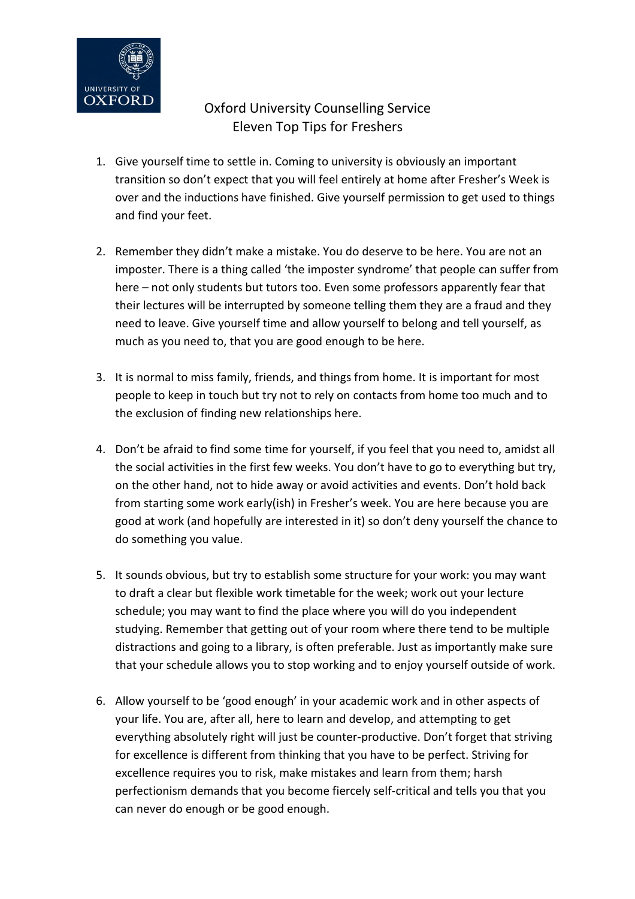

# Oxford University Counselling Service Eleven Top Tips for Freshers

- 1. Give yourself time to settle in. Coming to university is obviously an important transition so don't expect that you will feel entirely at home after Fresher's Week is over and the inductions have finished. Give yourself permission to get used to things and find your feet.
- 2. Remember they didn't make a mistake. You do deserve to be here. You are not an imposter. There is a thing called 'the imposter syndrome' that people can suffer from here – not only students but tutors too. Even some professors apparently fear that their lectures will be interrupted by someone telling them they are a fraud and they need to leave. Give yourself time and allow yourself to belong and tell yourself, as much as you need to, that you are good enough to be here.
- 3. It is normal to miss family, friends, and things from home. It is important for most people to keep in touch but try not to rely on contacts from home too much and to the exclusion of finding new relationships here.
- 4. Don't be afraid to find some time for yourself, if you feel that you need to, amidst all the social activities in the first few weeks. You don't have to go to everything but try, on the other hand, not to hide away or avoid activities and events. Don't hold back from starting some work early(ish) in Fresher's week. You are here because you are good at work (and hopefully are interested in it) so don't deny yourself the chance to do something you value.
- 5. It sounds obvious, but try to establish some structure for your work: you may want to draft a clear but flexible work timetable for the week; work out your lecture schedule; you may want to find the place where you will do you independent studying. Remember that getting out of your room where there tend to be multiple distractions and going to a library, is often preferable. Just as importantly make sure that your schedule allows you to stop working and to enjoy yourself outside of work.
- 6. Allow yourself to be 'good enough' in your academic work and in other aspects of your life. You are, after all, here to learn and develop, and attempting to get everything absolutely right will just be counter-productive. Don't forget that striving for excellence is different from thinking that you have to be perfect. Striving for excellence requires you to risk, make mistakes and learn from them; harsh perfectionism demands that you become fiercely self-critical and tells you that you can never do enough or be good enough.